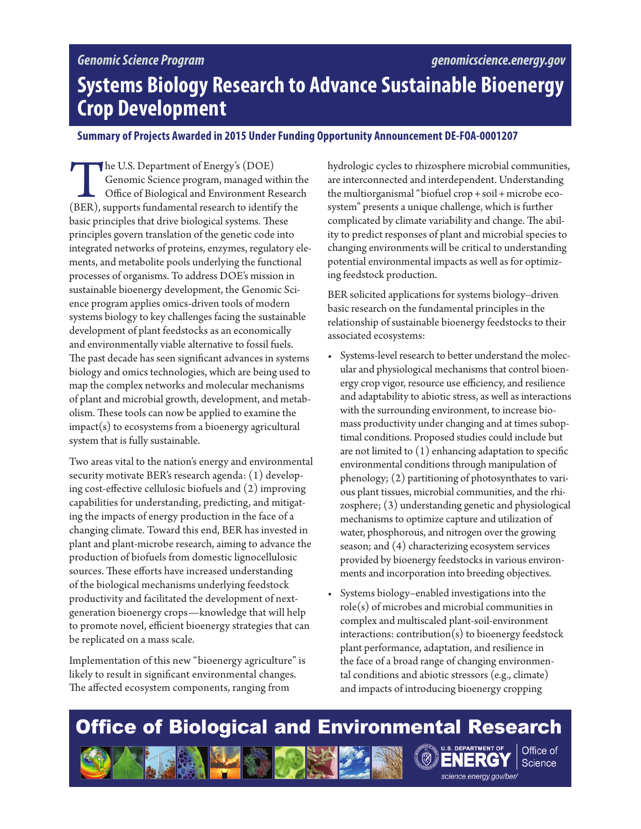# *Genomic Science Program*

# **Systems Biology Research to Advance Sustainable Bioenergy Crop Development**

### **Summary of Projects Awarded in 2015 Under Funding Opportunity Announcement DE-FOA-0001207**

The U.S. Department of Energy's (DOE)<br>
Genomic Science program, managed within the<br>
Office of Biological and Environment Researc<br>
(BER), supports fundamental research to identify the Genomic Science program, managed within the Office of Biological and Environment Research basic principles that drive biological systems. These principles govern translation of the genetic code into integrated networks of proteins, enzymes, regulatory elements, and metabolite pools underlying the functional processes of organisms. To address DOE's mission in sustainable bioenergy development, the Genomic Science program applies omics-driven tools of modern systems biology to key challenges facing the sustainable development of plant feedstocks as an economically and environmentally viable alternative to fossil fuels. The past decade has seen significant advances in systems biology and omics technologies, which are being used to map the complex networks and molecular mechanisms of plant and microbial growth, development, and metabolism. These tools can now be applied to examine the  $impact(s)$  to ecosystems from a bioenergy agricultural system that is fully sustainable.

Two areas vital to the nation's energy and environmental security motivate BER's research agenda: (1) developing cost-effective cellulosic biofuels and (2) improving capabilities for understanding, predicting, and mitigating the impacts of energy production in the face of a changing climate. Toward this end, BER has invested in plant and plant-microbe research, aiming to advance the production of biofuels from domestic lignocellulosic sources. These efforts have increased understanding of the biological mechanisms underlying feedstock productivity and facilitated the development of nextgeneration bioenergy crops—knowledge that will help to promote novel, efficient bioenergy strategies that can be replicated on a mass scale.

Implementation of this new "bioenergy agriculture" is likely to result in significant environmental changes. The affected ecosystem components, ranging from

hydrologic cycles to rhizosphere microbial communities, are interconnected and interdependent. Understanding the multiorganismal "biofuel crop+soil+microbe ecosystem" presents a unique challenge, which is further complicated by climate variability and change. The ability to predict responses of plant and microbial species to changing environments will be critical to understanding potential environmental impacts as well as for optimizing feedstock production.

BER solicited applications for systems biology–driven basic research on the fundamental principles in the relationship of sustainable bioenergy feedstocks to their associated ecosystems:

- Systems-level research to better understand the molecular and physiological mechanisms that control bioenergy crop vigor, resource use efficiency, and resilience and adaptability to abiotic stress, as well as interactions with the surrounding environment, to increase biomass productivity under changing and at times suboptimal conditions. Proposed studies could include but are not limited to (1) enhancing adaptation to specific environmental conditions through manipulation of phenology; (2) partitioning of photosynthates to various plant tissues, microbial communities, and the rhizosphere; (3) understanding genetic and physiological mechanisms to optimize capture and utilization of water, phosphorous, and nitrogen over the growing season; and (4) characterizing ecosystem services provided by bioenergy feedstocks in various environments and incorporation into breeding objectives.
- Systems biology–enabled investigations into the role(s) of microbes and microbial communities in complex and multiscaled plant-soil-environment  $interactions: contribution(s) to bioenergy feedback$ plant performance, adaptation, and resilience in the face of a broad range of changing environmental conditions and abiotic stressors (e.g., climate) and impacts of introducing bioenergy cropping

# **Office of Biological and Environmental Research**

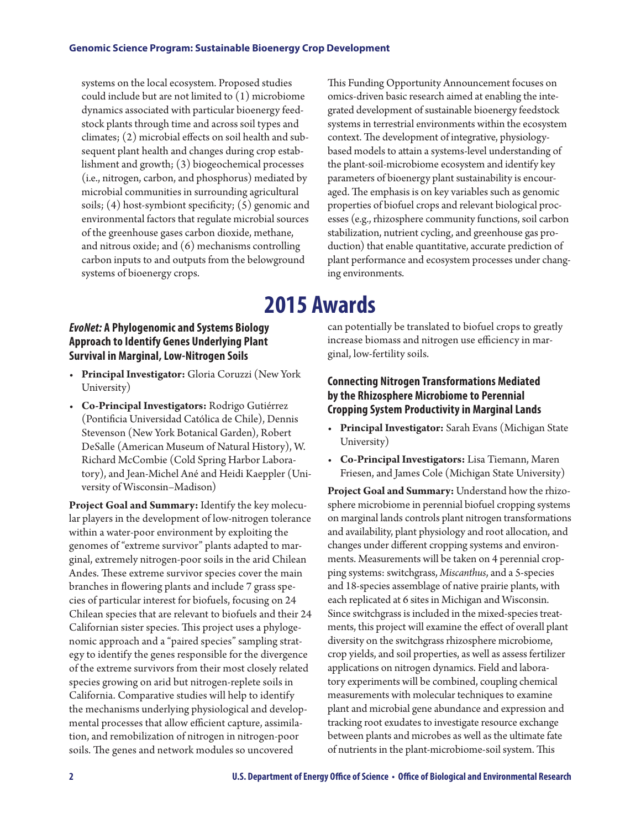#### **Genomic Science Program: Sustainable Bioenergy Crop Development**

systems on the local ecosystem. Proposed studies could include but are not limited to (1) microbiome dynamics associated with particular bioenergy feedstock plants through time and across soil types and climates; (2) microbial effects on soil health and subsequent plant health and changes during crop establishment and growth; (3) biogeochemical processes (i.e., nitrogen, carbon, and phosphorus) mediated by microbial communities in surrounding agricultural soils; (4) host-symbiont specificity; (5) genomic and environmental factors that regulate microbial sources of the greenhouse gases carbon dioxide, methane, and nitrous oxide; and (6) mechanisms controlling carbon inputs to and outputs from the belowground systems of bioenergy crops.

# *EvoNet:* **A Phylogenomic and Systems Biology Approach to Identify Genes Underlying Plant Survival in Marginal, Low-Nitrogen Soils**

- **Principal Investigator:** Gloria Coruzzi (New York University)
- **Co-Principal Investigators:** Rodrigo Gutiérrez (Pontificia Universidad Católica de Chile), Dennis Stevenson (New York Botanical Garden), Robert DeSalle (American Museum of Natural History), W. Richard McCombie (Cold Spring Harbor Laboratory), and Jean-Michel Ané and Heidi Kaeppler (University of Wisconsin–Madison)

**Project Goal and Summary:** Identify the key molecular players in the development of low-nitrogen tolerance within a water-poor environment by exploiting the genomes of "extreme survivor" plants adapted to marginal, extremely nitrogen-poor soils in the arid Chilean Andes. These extreme survivor species cover the main branches in flowering plants and include 7 grass species of particular interest for biofuels, focusing on 24 Chilean species that are relevant to biofuels and their 24 Californian sister species. This project uses a phylogenomic approach and a "paired species" sampling strategy to identify the genes responsible for the divergence of the extreme survivors from their most closely related species growing on arid but nitrogen-replete soils in California. Comparative studies will help to identify the mechanisms underlying physiological and developmental processes that allow efficient capture, assimilation, and remobilization of nitrogen in nitrogen-poor soils. The genes and network modules so uncovered

This Funding Opportunity Announcement focuses on omics-driven basic research aimed at enabling the integrated development of sustainable bioenergy feedstock systems in terrestrial environments within the ecosystem context. The development of integrative, physiologybased models to attain a systems-level understanding of the plant-soil-microbiome ecosystem and identify key parameters of bioenergy plant sustainability is encouraged.The emphasis is on key variables such as genomic properties of biofuel crops and relevant biological processes (e.g., rhizosphere community functions, soil carbon stabilization, nutrient cycling, and greenhouse gas production) that enable quantitative, accurate prediction of plant performance and ecosystem processes under changing environments.

# **2015 Awards**

can potentially be translated to biofuel crops to greatly increase biomass and nitrogen use efficiency in marginal, low-fertility soils.

# **Connecting Nitrogen Transformations Mediated by the Rhizosphere Microbiome to Perennial Cropping System Productivity in Marginal Lands**

- **Principal Investigator:** Sarah Evans (Michigan State University)
- **Co-Principal Investigators:** Lisa Tiemann, Maren Friesen, and James Cole (Michigan State University)

**Project Goal and Summary:** Understand how the rhizosphere microbiome in perennial biofuel cropping systems on marginal lands controls plant nitrogen transformations and availability, plant physiology and root allocation, and changes under different cropping systems and environments. Measurements will be taken on 4 perennial cropping systems: switchgrass, *Miscanthus*, and a 5-species and 18-species assemblage of native prairie plants, with each replicated at 6 sites in Michigan and Wisconsin. Since switchgrass is included in the mixed-species treatments, this project will examine the effect of overall plant diversity on the switchgrass rhizosphere microbiome, crop yields, and soil properties, as well as assess fertilizer applications on nitrogen dynamics. Field and laboratory experiments will be combined, coupling chemical measurements with molecular techniques to examine plant and microbial gene abundance and expression and tracking root exudates to investigate resource exchange between plants and microbes as well as the ultimate fate of nutrients in the plant-microbiome-soil system. This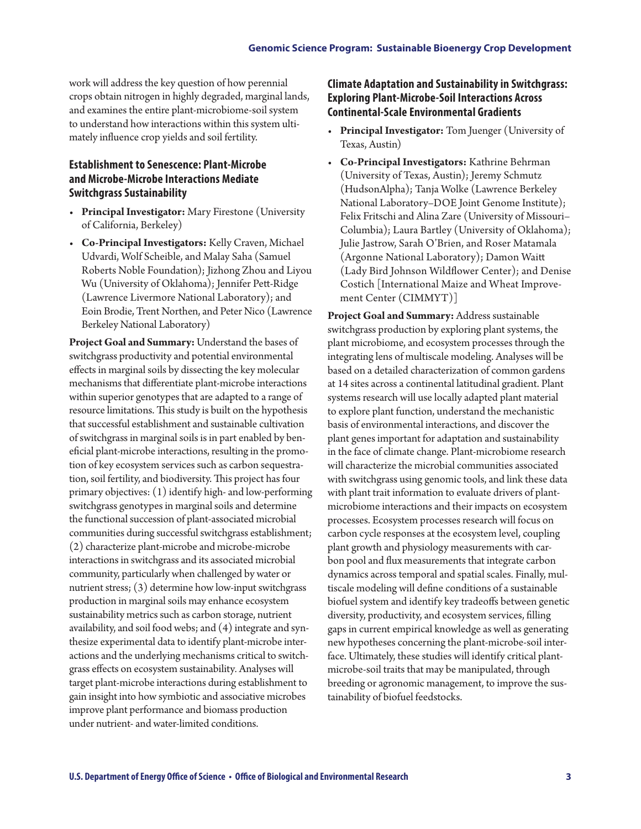work will address the key question of how perennial crops obtain nitrogen in highly degraded, marginal lands, and examines the entire plant-microbiome-soil system to understand how interactions within this system ultimately influence crop yields and soil fertility.

### **Establishment to Senescence: Plant-Microbe and Microbe-Microbe Interactions Mediate Switchgrass Sustainability**

- **Principal Investigator:** Mary Firestone (University of California, Berkeley)
- **Co-Principal Investigators:** Kelly Craven, Michael Udvardi, Wolf Scheible, and Malay Saha (Samuel Roberts Noble Foundation); Jizhong Zhou and Liyou Wu (University of Oklahoma); Jennifer Pett-Ridge (Lawrence Livermore National Laboratory); and Eoin Brodie, Trent Northen, and Peter Nico (Lawrence Berkeley National Laboratory)

**Project Goal and Summary:** Understand the bases of switchgrass productivity and potential environmental effects in marginal soils by dissecting the key molecular mechanisms that differentiate plant-microbe interactions within superior genotypes that are adapted to a range of resource limitations. This study is built on the hypothesis that successful establishment and sustainable cultivation of switchgrass in marginal soils is in part enabled by beneficial plant-microbe interactions, resulting in the promotion of key ecosystem services such as carbon sequestration, soil fertility, and biodiversity. This project has four primary objectives: (1) identify high- and low-performing switchgrass genotypes in marginal soils and determine the functional succession of plant-associated microbial communities during successful switchgrass establishment; (2) characterize plant-microbe and microbe-microbe interactions in switchgrass and its associated microbial community, particularly when challenged by water or nutrient stress; (3) determine how low-input switchgrass production in marginal soils may enhance ecosystem sustainability metrics such as carbon storage, nutrient availability, and soil food webs; and (4) integrate and synthesize experimental data to identify plant-microbe interactions and the underlying mechanisms critical to switchgrass effects on ecosystem sustainability*.* Analyses will target plant-microbe interactions during establishment to gain insight into how symbiotic and associative microbes improve plant performance and biomass production under nutrient- and water-limited conditions.

#### **Climate Adaptation and Sustainability in Switchgrass: Exploring Plant-Microbe-Soil Interactions Across Continental-Scale Environmental Gradients**

- **Principal Investigator:** Tom Juenger (University of Texas, Austin)
- **Co-Principal Investigators:** Kathrine Behrman (University of Texas, Austin); Jeremy Schmutz (HudsonAlpha); Tanja Wolke (Lawrence Berkeley National Laboratory–DOE Joint Genome Institute); Felix Fritschi and Alina Zare (University of Missouri– Columbia); Laura Bartley (University of Oklahoma); Julie Jastrow, Sarah O'Brien, and Roser Matamala (Argonne National Laboratory); Damon Waitt (Lady Bird Johnson Wildflower Center); and Denise Costich [International Maize and Wheat Improvement Center (CIMMYT)]

**Project Goal and Summary:** Address sustainable switchgrass production by exploring plant systems, the plant microbiome, and ecosystem processes through the integrating lens of multiscale modeling. Analyses will be based on a detailed characterization of common gardens at 14 sites across a continental latitudinal gradient. Plant systems research will use locally adapted plant material to explore plant function, understand the mechanistic basis of environmental interactions, and discover the plant genes important for adaptation and sustainability in the face of climate change. Plant-microbiome research will characterize the microbial communities associated with switchgrass using genomic tools, and link these data with plant trait information to evaluate drivers of plantmicrobiome interactions and their impacts on ecosystem processes. Ecosystem processes research will focus on carbon cycle responses at the ecosystem level, coupling plant growth and physiology measurements with carbon pool and flux measurements that integrate carbon dynamics across temporal and spatial scales. Finally, multiscale modeling will define conditions of a sustainable biofuel system and identify key tradeoffs between genetic diversity, productivity, and ecosystem services, filling gaps in current empirical knowledge as well as generating new hypotheses concerning the plant-microbe-soil interface. Ultimately, these studies will identify critical plantmicrobe-soil traits that may be manipulated, through breeding or agronomic management, to improve the sustainability of biofuel feedstocks.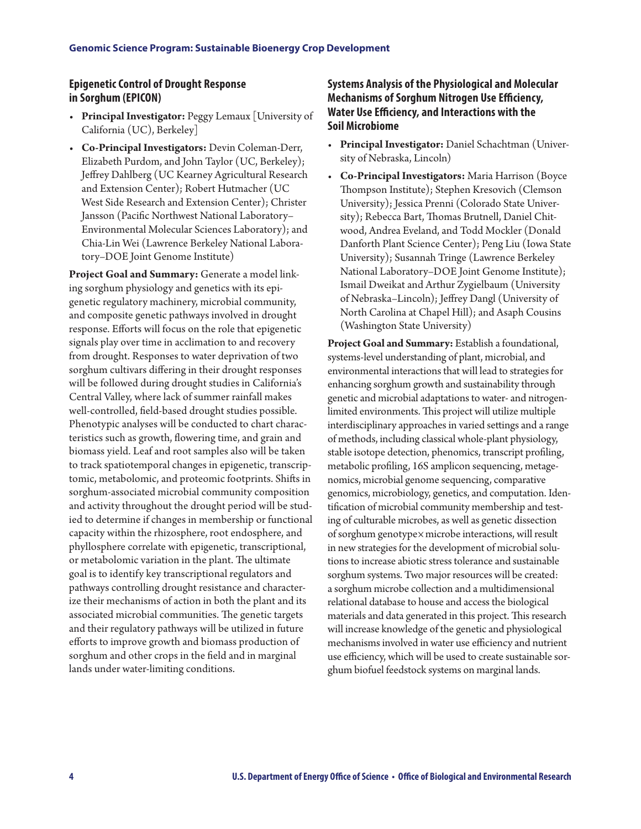#### **Epigenetic Control of Drought Response in Sorghum (EPICON)**

- **Principal Investigator:** Peggy Lemaux [University of California (UC), Berkeley]
- **Co-Principal Investigators:** Devin Coleman-Derr, Elizabeth Purdom, and John Taylor (UC, Berkeley); Jeffrey Dahlberg (UC Kearney Agricultural Research and Extension Center); Robert Hutmacher (UC West Side Research and Extension Center); Christer Jansson (Pacific Northwest National Laboratory– Environmental Molecular Sciences Laboratory); and Chia-Lin Wei (Lawrence Berkeley National Laboratory–DOE Joint Genome Institute)

**Project Goal and Summary:** Generate a model linking sorghum physiology and genetics with its epigenetic regulatory machinery, microbial community, and composite genetic pathways involved in drought response. Efforts will focus on the role that epigenetic signals play over time in acclimation to and recovery from drought. Responses to water deprivation of two sorghum cultivars differing in their drought responses will be followed during drought studies in California's Central Valley, where lack of summer rainfall makes well-controlled, field-based drought studies possible. Phenotypic analyses will be conducted to chart characteristics such as growth, flowering time, and grain and biomass yield. Leaf and root samples also will be taken to track spatiotemporal changes in epigenetic, transcriptomic, metabolomic, and proteomic footprints. Shifts in sorghum-associated microbial community composition and activity throughout the drought period will be studied to determine if changes in membership or functional capacity within the rhizosphere, root endosphere, and phyllosphere correlate with epigenetic, transcriptional, or metabolomic variation in the plant. The ultimate goal is to identify key transcriptional regulators and pathways controlling drought resistance and characterize their mechanisms of action in both the plant and its associated microbial communities. The genetic targets and their regulatory pathways will be utilized in future efforts to improve growth and biomass production of sorghum and other crops in the field and in marginal lands under water-limiting conditions.

### **Systems Analysis of the Physiological and Molecular Mechanisms of Sorghum Nitrogen Use Efficiency, Water Use Efficiency, and Interactions with the Soil Microbiome**

- **Principal Investigator:** Daniel Schachtman (University of Nebraska, Lincoln)
- **Co-Principal Investigators:** Maria Harrison (Boyce Thompson Institute); Stephen Kresovich (Clemson University); Jessica Prenni (Colorado State University); Rebecca Bart, Thomas Brutnell, Daniel Chitwood, Andrea Eveland, and Todd Mockler (Donald Danforth Plant Science Center); Peng Liu (Iowa State University); Susannah Tringe (Lawrence Berkeley National Laboratory–DOE Joint Genome Institute); Ismail Dweikat and Arthur Zygielbaum (University of Nebraska–Lincoln); Jeffrey Dangl (University of North Carolina at Chapel Hill); and Asaph Cousins (Washington State University)

**Project Goal and Summary:** Establish a foundational, systems-level understanding of plant, microbial, and environmental interactions that will lead to strategies for enhancing sorghum growth and sustainability through genetic and microbial adaptations to water- and nitrogenlimited environments. This project will utilize multiple interdisciplinary approaches in varied settings and a range of methods, including classical whole-plant physiology, stable isotope detection, phenomics, transcript profiling, metabolic profiling, 16S amplicon sequencing, metagenomics, microbial genome sequencing, comparative genomics, microbiology, genetics, and computation. Identification of microbial community membership and testing of culturable microbes, as well as genetic dissection of sorghum genotype×microbe interactions, will result in new strategies for the development of microbial solutions to increase abiotic stress tolerance and sustainable sorghum systems. Two major resources will be created: a sorghum microbe collection and a multidimensional relational database to house and access the biological materials and data generated in this project. This research will increase knowledge of the genetic and physiological mechanisms involved in water use efficiency and nutrient use efficiency, which will be used to create sustainable sorghum biofuel feedstock systems on marginal lands.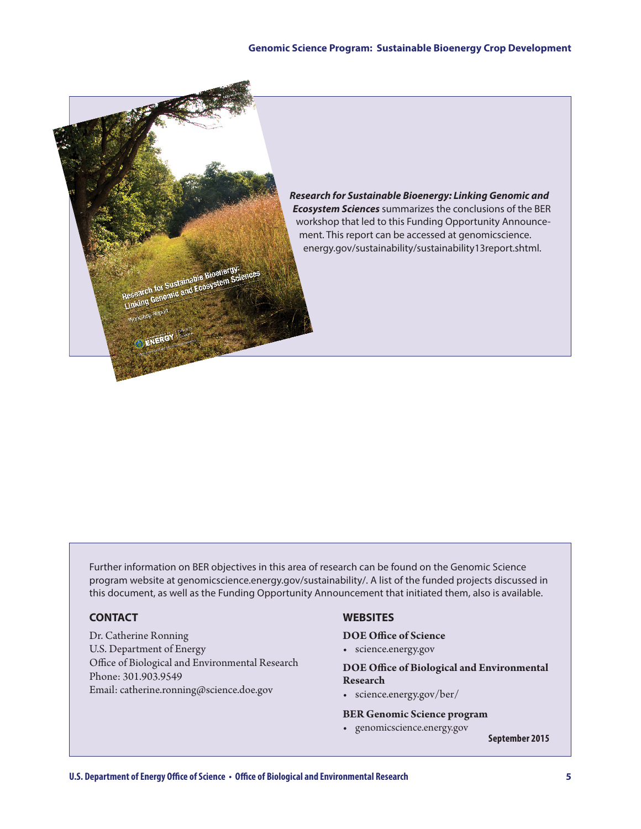

Further information on BER objectives in this area of research can be found on the Genomic Science program website at [genomicscience.energy.gov/sustainability/.](http://genomicscience.energy.gov/sustainability/.) A list of the funded projects discussed in this document, as well as the Funding Opportunity Announcement that initiated them, also is available.

#### **CONTACT**

Dr. Catherine Ronning U.S. Department of Energy Office of Biological and Environmental Research Phone: 301.903.9549 Email: catherine.ronning@science.doe.gov

#### **WEBSITES**

#### **DOE Office of Science**

• [science.energy.gov](http://science.energy.gov)

**DOE Office of Biological and Environmental Research**

• [science.energy.gov/ber/](http://science.energy.gov/ber/)

#### **BER Genomic Science program**

• [genomicscience.energy.gov](http://genomicscience.energy.gov)

**September 2015**